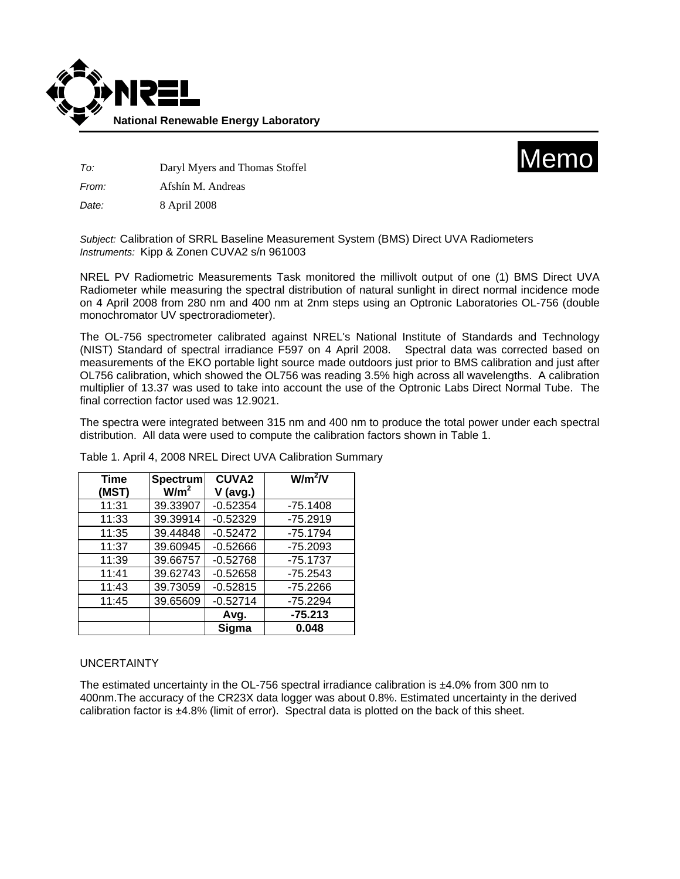



*To:* Daryl Myers and Thomas Stoffel

*From:* Afshín M. Andreas

*Date:* 8 April 2008

*Subject:* Calibration of SRRL Baseline Measurement System (BMS) Direct UVA Radiometers *Instruments:* Kipp & Zonen CUVA2 s/n 961003

NREL PV Radiometric Measurements Task monitored the millivolt output of one (1) BMS Direct UVA Radiometer while measuring the spectral distribution of natural sunlight in direct normal incidence mode on 4 April 2008 from 280 nm and 400 nm at 2nm steps using an Optronic Laboratories OL-756 (double monochromator UV spectroradiometer).

The OL-756 spectrometer calibrated against NREL's National Institute of Standards and Technology (NIST) Standard of spectral irradiance F597 on 4 April 2008. Spectral data was corrected based on measurements of the EKO portable light source made outdoors just prior to BMS calibration and just after OL756 calibration, which showed the OL756 was reading 3.5% high across all wavelengths. A calibration multiplier of 13.37 was used to take into account the use of the Optronic Labs Direct Normal Tube. The final correction factor used was 12.9021.

The spectra were integrated between 315 nm and 400 nm to produce the total power under each spectral distribution. All data were used to compute the calibration factors shown in Table 1.

| <b>Time</b> | <b>Spectrum</b>  | <b>CUVA2</b> | $W/m^2/V$  |
|-------------|------------------|--------------|------------|
| (MST)       | W/m <sup>2</sup> | V (avg.)     |            |
| 11:31       | 39.33907         | $-0.52354$   | $-75.1408$ |
| 11:33       | 39.39914         | $-0.52329$   | $-75.2919$ |
| 11:35       | 39.44848         | $-0.52472$   | $-75.1794$ |
| 11:37       | 39.60945         | $-0.52666$   | $-75.2093$ |
| 11:39       | 39.66757         | $-0.52768$   | $-75.1737$ |
| 11:41       | 39.62743         | $-0.52658$   | $-75.2543$ |
| 11:43       | 39.73059         | $-0.52815$   | $-75.2266$ |
| 11:45       | 39.65609         | $-0.52714$   | $-75.2294$ |
|             |                  | Avg.         | $-75.213$  |
|             |                  | Sigma        | 0.048      |

Table 1. April 4, 2008 NREL Direct UVA Calibration Summary

## UNCERTAINTY

The estimated uncertainty in the OL-756 spectral irradiance calibration is ±4.0% from 300 nm to 400nm.The accuracy of the CR23X data logger was about 0.8%. Estimated uncertainty in the derived calibration factor is  $\pm 4.8\%$  (limit of error). Spectral data is plotted on the back of this sheet.